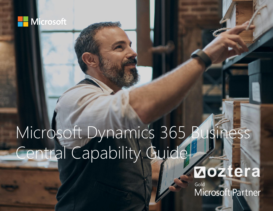

### **Zoztera**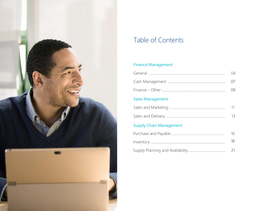

### Table of Contents

### **Finance Management**

|                                | 04 |
|--------------------------------|----|
|                                | 07 |
|                                | 09 |
| <b>Sales Management</b>        |    |
|                                | 11 |
|                                | 13 |
| <b>Supply Chain Management</b> |    |
|                                | 16 |
|                                | 18 |
|                                | 21 |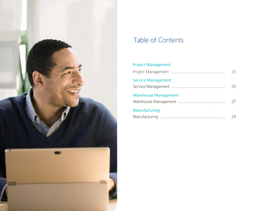

### Table of Contents

### Project Management

|                             | 23. |
|-----------------------------|-----|
| <b>Service Management</b>   | 25. |
| <b>Warehouse Management</b> | 27  |
| Manufacturing               |     |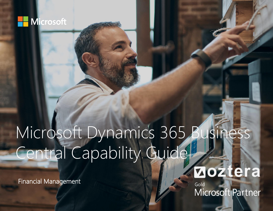

Financial Management

**Zoztera**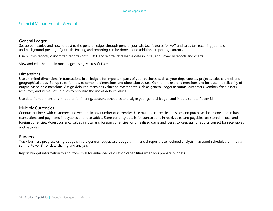#### Financial Management - General

#### General Ledger

Set up companies and how to post to the general ledger through general journals. Use features for VAT and sales tax, recurring journals, and background posting of journals. Posting and reporting can be done in one additional reporting currency.

Use built-in reports, customized reports (both RDCL and Word), refreshable data in Excel, and Power BI reports and charts.

View and edit the data in most pages using Microsoft Excel.

#### **Dimensions**

Use unlimited dimensions in transactions in all ledgers for important parts of your business, such as your departments, projects, sales channel, and geographical areas. Set up rules for how to combine dimensions and dimension values. Control the use of dimensions and increase the reliability of output based on dimensions. Assign default dimensions values to master data such as general ledger accounts, customers, vendors, fixed assets, resources, and items. Set up rules to prioritize the use of default values.

Use data from dimensions in reports for filtering, account schedules to analyze your general ledger, and in data sent to Power BI.

#### Multiple Currencies

Conduct business with customers and vendors in any number of currencies. Use multiple currencies on sales and purchase documents and in bank transactions and payments in payables and receivables. Store currency details for transactions in receivables and payables are stored in local and foreign currencies. Adjust currency values in local and foreign currencies for unrealized gains and losses to keep aging reports correct for receivables and payables.

#### Budgets

Track business progress using budgets in the general ledger. Use budgets in financial reports, user-defined analysis in account schedules, or in data sent to Power BI for data sharing and analysis.

Import budget information to and from Excel for enhanced calculation capabilities when you prepare budgets.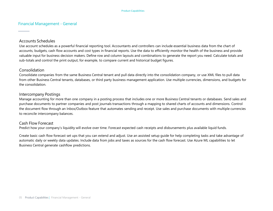#### Financial Management - General

#### Accounts Schedules

Use account schedules as a powerful financial reporting tool. Accountants and controllers can include essential business data from the chart of accounts, budgets, cash flow accounts and cost types in financial reports. Use the data to efficiently monitor the health of the business and provide valuable input for business decision makers. Define row and column layouts and combinations to generate the report you need. Calculate totals and sub-totals and control the print output, for example, to compare current and historical budget figures.

#### Consolidation

Consolidate companies from the same Business Central tenant and pull data directly into the consolidation company, or use XML files to pull data from other Business Central tenants, databases, or third party business management application. Use multiple currencies, dimensions, and budgets for the consolidation.

#### Intercompany Postings

Manage accounting for more than one company in a posting process that includes one or more Business Central tenants or databases. Send sales and purchase documents to partner companies and post journals transactions through a mapping to shared charts of accounts and dimensions. Control the document flow through an Inbox/Outbox feature that automates sending and receipt. Use sales and purchase documents with multiple currencies to reconcile intercompany balances.

#### Cash Flow Forecast

Predict how your company's liquidity will evolve over time. Forecast expected cash receipts and disbursements plus available liquid funds.

Create basic cash flow forecast set ups that you can extend and adjust. Use an assisted setup guide for help completing tasks and take advantage of automatic daily or weekly data updates. Include data from jobs and taxes as sources for the cash flow forecast. Use Azure ML capabilities to let Business Central generate cashflow predictions.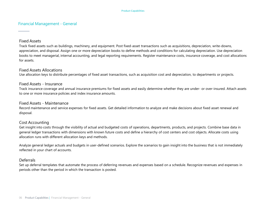#### Financial Management - General

#### Fixed Assets

Track fixed assets such as buildings, machinery, and equipment. Post fixed-asset transactions such as acquisitions, depreciation, write-downs, appreciation, and disposal. Assign one or more depreciation books to define methods and conditions for calculating depreciation. Use depreciation books to meet managerial, internal accounting, and legal reporting requirements. Register maintenance costs, insurance coverage, and cost allocations for assets.

#### Fixed Assets Allocations

Use allocation keys to distribute percentages of fixed asset transactions, such as acquisition cost and depreciation, to departments or projects.

#### Fixed Assets - Insurance

Track insurance coverage and annual insurance premiums for fixed assets and easily determine whether they are under- or over-insured. Attach assets to one or more insurance policies and index insurance amounts.

#### Fixed Assets - Maintenance

Record maintenance and service expenses for fixed assets. Get detailed information to analyze and make decisions about fixed asset renewal and disposal.

#### Cost Accounting

Get insight into costs through the visibility of actual and budgeted costs of operations, departments, products, and projects. Combine base data in general ledger transactions with dimensions with known future costs and define a hierarchy of cost centers and cost objects. Allocate costs using allocation runs with different allocation keys and methods.

Analyze general ledger actuals and budgets in user-defined scenarios. Explore the scenarios to gain insight into the business that is not immediately reflected in your chart of accounts.

#### **Deferrals**

Set up deferral templates that automate the process of deferring revenues and expenses based on a schedule. Recognize revenues and expenses in periods other than the period in which the transaction is posted.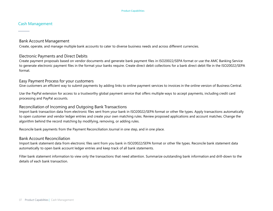#### Cash Management

#### Bank Account Management

Create, operate, and manage multiple bank accounts to cater to diverse business needs and across different currencies.

#### Electronic Payments and Direct Debits

Create payment proposals based on vendor documents and generate bank payment files in ISO20022/SEPA format or use the AMC Banking Service to generate electronic payment files in the format your banks require. Create direct debit collections for a bank direct debit file in the ISO20022/SEPA format.

#### Easy Payment Process for your customers

Give customers an efficient way to submit payments by adding links to online payment services to invoices in the online version of Business Central.

Use the PayPal extension for access to a trustworthy global payment service that offers multiple ways to accept payments, including credit card processing and PayPal accounts.

#### Reconciliation of Incoming and Outgoing Bank Transactions

Import bank transaction data from electronic files sent from your bank in ISO20022/SEPA format or other file types. Apply transactions automatically to open customer and vendor ledger entries and create your own matching rules. Review proposed applications and account matches. Change the algorithm behind the record matching by modifying, removing, or adding rules.

Reconcile bank payments from the Payment Reconciliation Journal in one step, and in one place.

#### Bank Account Reconciliation

Import bank statement data from electronic files sent from you bank in ISO20022/SEPA format or other file types. Reconcile bank statement data automatically to open bank account ledger entries and keep track of all bank statements.

Filter bank statement information to view only the transactions that need attention. Summarize outstanding bank information and drill-down to the details of each bank transaction.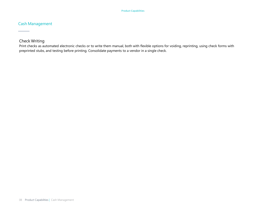#### Cash Management

#### Check Writing

Print checks as automated electronic checks or to write them manual, both with flexible options for voiding, reprinting, using check forms with preprinted stubs, and testing before printing. Consolidate payments to a vendor in a single check.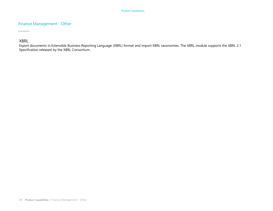#### Finance Management - Other

XBRL

Export documents in Extensible Business Reporting Language (XBRL) format and import XBRL taxonomies. The XBRL module supports the XBRL 2.1 Specification released by the XBRL Consortium.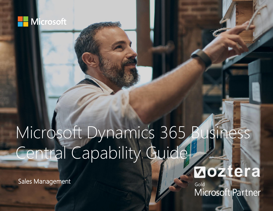

Sales Management

**Zoztera**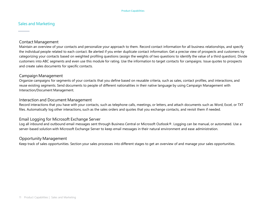#### Sales and Marketing

#### Contact Management

Maintain an overview of your contacts and personalize your approach to them. Record contact information for all business relationships, and specify the individual people related to each contact. Be alerted if you enter duplicate contact information. Get a precise view of prospects and customers by categorizing your contacts based on weighted profiling questions (assign the weights of two questions to identify the value of a third question). Divide customers into ABC segments and even use this module for rating. Use the information to target contacts for campaigns. Issue quotes to prospects and create sales documents for specific contacts.

#### Campaign Management

Organize campaigns for segments of your contacts that you define based on reusable criteria, such as sales, contact profiles, and interactions, and reuse existing segments. Send documents to people of different nationalities in their native language by using Campaign Management with Interaction/Document Management.

#### Interaction and Document Management

Record interactions that you have with your contacts, such as telephone calls, meetings, or letters, and attach documents such as Word, Excel, or TXT files. Automatically log other interactions, such as the sales orders and quotes that you exchange contacts, and revisit them if needed.

#### Email Logging for Microsoft Exchange Server

Log all inbound and outbound email messages sent through Business Central or Microsoft Outlook®. Logging can be manual, or automated. Use a server-based solution with Microsoft Exchange Server to keep email messages in their natural environment and ease administration.

#### Opportunity Management

Keep track of sales opportunities. Section your sales processes into different stages to get an overview of and manage your sales opportunities.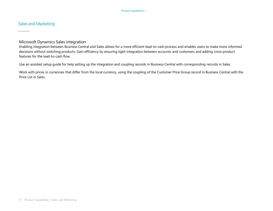#### Sales and Marketing

#### Microsoft Dynamics Sales integration

Enabling integration between Business Central and Sales allows for a more efficient lead-to-cash process and enables users to make more informed decisions without switching products. Gain efficiency by ensuring tight integration between accounts and customers and adding cross-product features for the lead-to-cash flow.

Use an assisted setup guide for help setting up the integration and coupling records in Business Central with corresponding records in Sales.

Work with prices in currencies that differ from the local currency, using the coupling of the Customer Price Group record in Business Central with the Price List in Sales.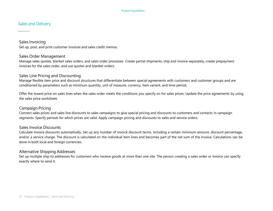#### Sales and Delivery

Sales Invoicing Set up, post, and print customer invoices and sales credit memos.

#### Sales Order Management

Manage sales quotes, blanket sales orders, and sales order processes. Create partial shipments, ship and invoice separately, create prepayment invoices for the sales order, and use quotes and blanket orders.

#### Sales Line Pricing and Discounting

Manage flexible item price and discount structures that differentiate between special agreements with customers and customer groups and are conditioned by parameters such as minimum quantity, unit of measure, currency, item variant, and time period.

Offer the lowest price on sales lines when the sales order meets the conditions you specify on for sales prices. Update the price agreements by using the sales price worksheet.

#### Campaign Pricing

Connect sales prices and sales line discounts to sales campaigns to give special pricing and discounts to customers and contacts in campaign segments. Specify periods for which prices are valid. Apply campaign pricing and discounts to sales and service orders.

#### Sales Invoice Discounts

Calculate invoice discounts automatically. Set up any number of invoice discount terms, including a certain minimum amount, discount percentage, and/or a service charge. The discount is calculated on the individual item lines and becomes part of the net sum of the invoice. Calculations can be done in both local and foreign currencies.

#### Alternative Shipping Addresses

Set up multiple ship-to addresses for customers who receive goods at more than one site. The person creating a sales order or invoice can specify exactly where to send it.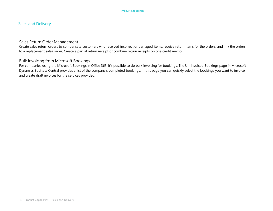#### Sales and Delivery

#### Sales Return Order Management

Create sales return orders to compensate customers who received incorrect or damaged items, receive return items for the orders, and link the orders to a replacement sales order. Create a partial return receipt or combine return receipts on one credit memo.

#### Bulk Invoicing from Microsoft Bookings

For companies using the Microsoft Bookings in Office 365, it's possible to do bulk invoicing for bookings. The Un-invoiced Bookings page in Microsoft Dynamics Business Central provides a list of the company's completed bookings. In this page you can quickly select the bookings you want to invoice and create draft invoices for the services provided.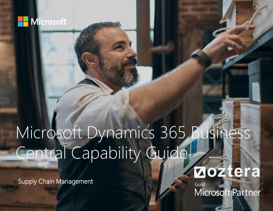

Supply Chain Management

### **Zoztera**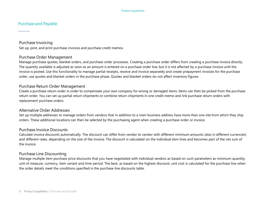#### Purchase and Payable

Purchase Invoicing

Set up, post, and print purchase invoices and purchase credit memos.

#### Purchase Order Management

Manage purchase quotes, blanket orders, and purchase order processes. Creating a purchase order differs from creating a purchase invoice directly. The quantity available is adjusted as soon as an amount is entered on a purchase order line, but it is not affected by a purchase invoice until the invoice is posted. Use this functionality to manage partial receipts, receive and invoice separately and create prepayment invoices for the purchase order, use quotes and blanket orders in the purchase phase. Quotes and blanket orders do not affect inventory figures.

#### Purchase Return Order Management

Create a purchase return order in order to compensate your own company for wrong or damaged items. Items can then be picked from the purchase return order. You can set up partial return shipments or combine return shipments in one credit memo and link purchase return orders with replacement purchase orders.

#### Alternative Order Addresses

Set up multiple addresses to manage orders from vendors that in addition to a main business address have more than one site from which they ship orders. These additional locations can then be selected by the purchasing agent when creating a purchase order or invoice.

#### Purchase Invoice Discounts

Calculate invoice discounts automatically. The discount can differ from vendor to vendor with different minimum amounts (also in different currencies) and different rates, depending on the size of the invoice. The discount is calculated on the individual item lines and becomes part of the net sum of the invoice.

#### Purchase Line Discounting

Manage multiple item purchase price discounts that you have negotiated with individual vendors as based on such parameters as minimum quantity, unit of measure, currency, item variant and time period. The best, as based on the highest discount, unit cost is calculated for the purchase line when the order details meet the conditions specified in the purchase line discounts table.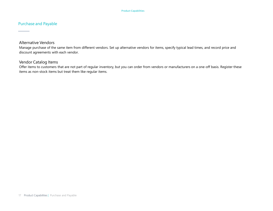#### Purchase and Payable

#### Alternative Vendors

Manage purchase of the same item from different vendors. Set up alternative vendors for items, specify typical lead times, and record price and discount agreements with each vendor.

#### Vendor Catalog Items

Offer items to customers that are not part of regular inventory, but you can order from vendors or manufacturers on a one-off basis. Register these items as non-stock items but treat them like regular items.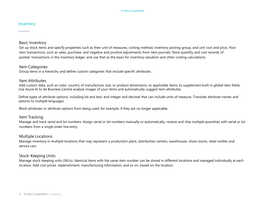#### Inventory

#### Basic Inventory

Set up stock items and specify properties such as their unit of measures, costing method, inventory posting group, and unit cost and price. Post item transactions, such as sales, purchase, and negative and positive adjustments from item journals. Store quantity and cost records of posted transactions in the inventory ledger, and use that as the basis for inventory valuation and other costing calculations.

#### Item Categories

Group items in a hierarchy and define custom categories that include specific attributes.

#### Item Attributes

Add custom data, such as color, country of manufacture, size, or product dimensions, to applicable items, to supplement built-in global item fields. Use Azure AI to let Business Central analyze images of your items and automatically suggest item attributes.

Define types of attribute options, including list and text, and integer and decimal that can include units of measure. Translate attribute names and options to multiple languages.

Block attributes or attribute options from being used, for example, if they are no longer applicable.

#### Item Tracking

Manage and track serial and lot numbers. Assign serial or lot numbers manually or automatically, receive and ship multiple quantities with serial or lot numbers from a single order line entry.

#### Multiple Locations

Manage inventory in multiple locations that may represent a production plant, distribution centers, warehouses, show rooms, retail outlets and service cars.

#### Stock-Keeping Units

Manage stock-keeping units (SKUs). Identical items with the same item number can be stored in different locations and managed individually at each location. Add cost prices, replenishment, manufacturing information, and so on, based on the location.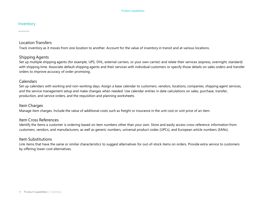#### Inventory

#### Location Transfers

Track inventory as it moves from one location to another. Account for the value of inventory in transit and at various locations.

#### Shipping Agents

Set up multiple shipping agents (for example, UPS, DHL, external carriers, or your own carrier) and relate their services (express, overnight, standard) with shipping time. Associate default shipping agents and their services with individual customers or specify those details on sales orders and transfer orders to improve accuracy of order promising.

#### **Calendars**

Set up calendars with working and non-working days. Assign a base calendar to customers, vendors, locations, companies, shipping agent services, and the service management setup and make changes when needed. Use calendar entries in date calculations on sales, purchase, transfer, production, and service orders, and the requisition and planning worksheets.

#### Item Charges

Manage item charges. Include the value of additional costs such as freight or insurance in the unit cost or unit price of an item.

#### Item Cross References

Identify the items a customer is ordering based on item numbers other than your own. Store and easily access cross-reference information from customers, vendors, and manufacturers, as well as generic numbers, universal product codes (UPCs), and European article numbers (EANs).

#### Item Substitutions

Link items that have the same or similar characteristics to suggest alternatives for out-of-stock items on orders. Provide extra service to customers by offering lower-cost alternatives.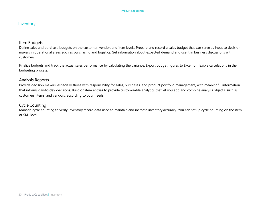#### Inventory

#### Item Budgets

Define sales and purchase budgets on the customer, vendor, and item levels. Prepare and record a sales budget that can serve as input to decision makers in operational areas such as purchasing and logistics. Get information about expected demand and use it in business discussions with customers.

Finalize budgets and track the actual sales performance by calculating the variance. Export budget figures to Excel for flexible calculations in the budgeting process.

#### Analysis Reports

Provide decision makers, especially those with responsibility for sales, purchases, and product portfolio management, with meaningful information that informs day-to-day decisions. Build on item entries to provide customizable analytics that let you add and combine analysis objects, such as customers, items, and vendors, according to your needs.

#### Cycle Counting

Manage cycle counting to verify inventory record data used to maintain and increase inventory accuracy. You can set up cycle counting on the item or SKU level.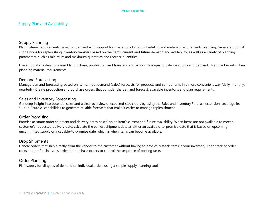#### Supply Plan and Availability

#### Supply Planning

Plan material requirements based on demand with support for master production scheduling and materials requirements planning. Generate optimal suggestions for replenishing inventory transfers based on the item's current and future demand and availability, as well as a variety of planning parameters, such as minimum and maximum quantities and reorder quantities.

Use automatic orders for assembly, purchase, production, and transfers, and action messages to balance supply and demand. Use time buckets when planning material requirements.

#### Demand Forecasting

Manage demand forecasting based on items. Input demand (sales) forecasts for products and components in a more convenient way (daily, monthly, quarterly). Create production and purchase orders that consider the demand forecast, available inventory, and plan requirements.

#### Sales and Inventory Forecasting

Get deep insight into potential sales and a clear overview of expected stock-outs by using the Sales and Inventory Forecast extension. Leverage its built-in Azure AI capabilities to generate reliable forecasts that make it easier to manage replenishment.

#### Order Promising

Promise accurate order shipment and delivery dates based on an item's current and future availability. When items are not available to meet a customer's requested delivery date, calculate the earliest shipment date as either an available-to-promise date that is based on upcoming uncommitted supply or a capable-to-promise date, which is when items can become available.

#### Drop Shipments

Handle orders that ship directly from the vendor to the customer without having to physically stock items in your inventory. Keep track of order costs and profit. Link sales orders to purchase orders to control the sequence of posting tasks.

#### Order Planning

Plan supply for all types of demand on individual orders using a simple supply planning tool.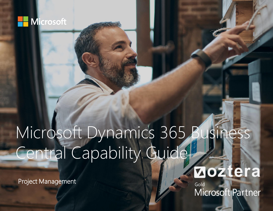

Project Management

**Zoztera**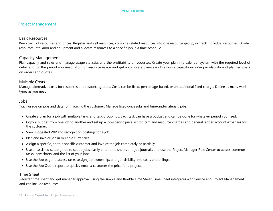#### Project Management

#### Basic Resources

Keep track of resources and prices. Register and sell resources, combine related resources into one resource group, or track individual resources. Divide resources into labor and equipment and allocate resources to a specific job in a time schedule.

#### Capacity Management

Plan capacity and sales and manage usage statistics and the profitability of resources. Create your plan in a calendar system with the required level of detail and for the period you need. Monitor resource usage and get a complete overview of resource capacity including availability and planned costs on orders and quotes.

#### Multiple Costs

Manage alternative costs for resources and resource groups. Costs can be fixed, percentage based, or an additional fixed charge. Define as many work types as you need.

#### Jobs

Track usage on jobs and data for invoicing the customer. Manage fixed-price jobs and time-and-materials jobs:

- Create a plan for a job with multiple tasks and task groupings. Each task can have a budget and can be done for whatever period you need.
- Copy a budget from one job to another and set up a job-specific price list for item and resource charges and general ledger account expenses for the customer.
- View suggested WIP and recognition postings for a job.
- Plan and invoice job in multiple currencies.
- Assign a specific job to a specific customer and invoice the job completely or partially.
- Use an assisted setup guide to set up jobs, easily enter time sheets and job journals, and use the Project Manager Role Center to access common tasks, new charts, and the list of your jobs.
- Use the Job page to access tasks, assign job ownership, and get visibility into costs and billings.
- Use the Job Quote report to quickly email a customer the price for a project.

#### Time Sheet

Register time spent and get manager approval using the simple and flexible Time Sheet. Time Sheet integrates with Service and Project Management and can include resources.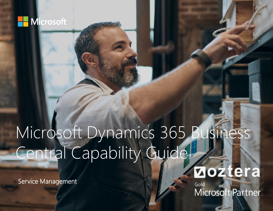

Service Management

**Zoztera**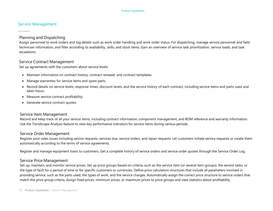#### Service Management

#### Planning and Dispatching

Assign personnel to work orders and log details such as work order handling and work order status. For dispatching, manage service personnel and field technician information, and filter according to availability, skills, and stock items. Gain an overview of service task prioritization, service loads, and task escalations.

#### Service Contract Management

Set up agreements with the customers about service levels:

- Maintain information on contract history, contract renewal, and contract templates.
- Manage warranties for service items and spare parts.
- Record details on service levels, response times, discount levels, and the service history of each contract, including service items and parts used and labor hours.
- Measure service contract profitability.
- Generate service contract quotes.

#### Service Item Management

Record and keep track of all your service items, including contract information, component management, and BOM reference and warranty information. Use the Trendscape Analysis feature to view key performance indicators for service items during various periods.

#### Service Order Management

Register post-sales issues including service requests, services due, service orders, and repair requests. Let customers initiate service requests or create them automatically according to the terms of service agreements.

Register and manage equipment loans to customers. Get a complete history of service orders and service order quotes through the Service Order Log.

#### Service Price Management

Set up, maintain, and monitor service prices. Set up price groups based on criteria, such as the service item (or several item groups), the service tasks, or the type of fault for a period of time or for specific customers or currencies. Define price calculation structures that include all parameters involved in providing service, such as the parts used, the types of work, and the service charges. Automatically assign the correct price structure to service orders that match the price group criteria. Assign fixed prices, minimum prices, or maximum prices to price groups and view statistics about profitability.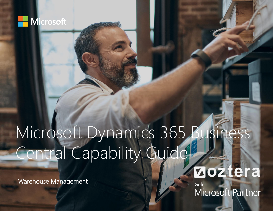

Warehouse Management

**Zoztera**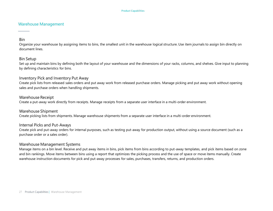#### Warehouse Management

#### Bin

Organize your warehouse by assigning items to bins, the smallest unit in the warehouse logical structure. Use item journals to assign bin directly on document lines.

#### Bin Setup

Set up and maintain bins by defining both the layout of your warehouse and the dimensions of your racks, columns, and shelves. Give input to planning by defining characteristics for bins.

#### Inventory Pick and Inventory Put Away

Create pick lists from released sales orders and put away work from released purchase orders. Manage picking and put away work without opening sales and purchase orders when handling shipments.

#### Warehouse Receipt

Create a put-away work directly from receipts. Manage receipts from a separate user interface in a multi-order environment.

Warehouse Shipment Create picking lists from shipments. Manage warehouse shipments from a separate user interface in a multi-order environment.

#### Internal Picks and Put-Aways

Create pick and put-away orders for internal purposes, such as testing put-away for production output, without using a source document (such as a purchase order or a sales order).

#### Warehouse Management Systems

Manage items on a bin level. Receive and put away items in bins, pick items from bins according to put-away templates, and pick items based on zone and bin rankings. Move items between bins using a report that optimizes the picking process and the use of space or move items manually. Create warehouse instruction documents for pick and put-away processes for sales, purchases, transfers, returns, and production orders.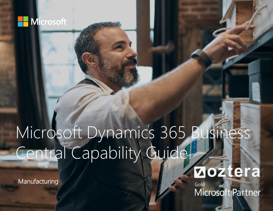

Manufacturing

**Zoztera**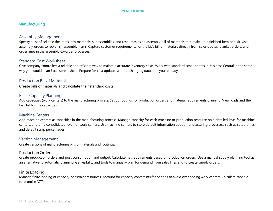#### Manufacturing

#### Assembly Management

Specify a list of sellable the items, raw materials, subassemblies, and resources as an assembly bill of materials that make up a finished item or a kit. Use assembly orders to replenish assembly items. Capture customer requirements for the kit's bill of materials directly from sales quotes, blanket orders, and order lines in the assembly-to-order processes.

#### Standard Cost Worksheet

Give company controllers a reliable and efficient way to maintain accurate inventory costs. Work with standard cost updates in Business Central in the same way you would in an Excel spreadsheet. Prepare for cost updates without changing data until you're ready.

#### Production Bill of Materials

Create bills of materials and calculate their standard costs.

#### Basic Capacity Planning

Add capacities (work centers) to the manufacturing process. Set up routings for production orders and material requirements planning. View loads and the task list for the capacities.

#### Machine Centers

Add machine centers as capacities in the manufacturing process. Manage capacity for each machine or production resource on a detailed level for machine centers, and on a consolidated level for work centers. Use machine centers to store default information about manufacturing processes, such as setup times and default scrap percentages.

#### Version Management

Create versions of manufacturing bills of materials and routings.

#### Production Orders

Create production orders and post consumption and output. Calculate net requirements based on production orders. Use a manual supply planning tool as an alternative to automatic planning. Get visibility and tools to manually plan for demand from sales lines and to create supply orders.

#### Finite Loading

Manage finite loading of capacity-constraint resources. Account for capacity constraints for periods to avoid overloading work centers. Calculate capableto-promise (CTP).